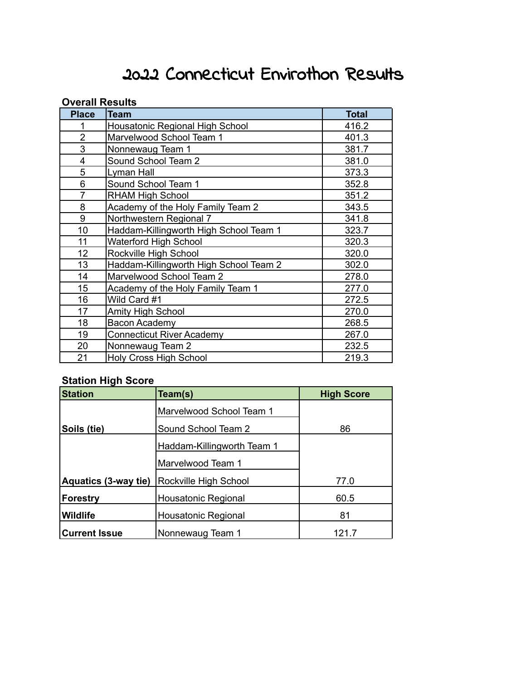## 2022 Connecticut Envirothon Results

## **Overall Results**

| <b>Place</b>   | <b>Team</b>                            | <b>Total</b> |
|----------------|----------------------------------------|--------------|
|                | Housatonic Regional High School        | 416.2        |
| $\overline{2}$ | Marvelwood School Team 1               | 401.3        |
| 3              | Nonnewaug Team 1                       | 381.7        |
| 4              | Sound School Team 2                    | 381.0        |
| 5              | Lyman Hall                             | 373.3        |
| 6              | Sound School Team 1                    | 352.8        |
| 7              | <b>RHAM High School</b>                | 351.2        |
| 8              | Academy of the Holy Family Team 2      | 343.5        |
| 9              | Northwestern Regional 7                | 341.8        |
| 10             | Haddam-Killingworth High School Team 1 | 323.7        |
| 11             | Waterford High School                  | 320.3        |
| 12             | Rockville High School                  | 320.0        |
| 13             | Haddam-Killingworth High School Team 2 | 302.0        |
| 14             | Marvelwood School Team 2               | 278.0        |
| 15             | Academy of the Holy Family Team 1      | 277.0        |
| 16             | Wild Card #1                           | 272.5        |
| 17             | Amity High School                      | 270.0        |
| 18             | <b>Bacon Academy</b>                   | 268.5        |
| 19             | <b>Connecticut River Academy</b>       | 267.0        |
| 20             | Nonnewaug Team 2                       | 232.5        |
| 21             | <b>Holy Cross High School</b>          | 219.3        |

## **Station High Score**

| <b>Station</b>       | Team(s)                    | <b>High Score</b> |  |  |
|----------------------|----------------------------|-------------------|--|--|
|                      | Marvelwood School Team 1   |                   |  |  |
| Soils (tie)          | Sound School Team 2        | 86                |  |  |
|                      | Haddam-Killingworth Team 1 |                   |  |  |
|                      | Marvelwood Team 1          |                   |  |  |
| Aquatics (3-way tie) | Rockville High School      | 77.0              |  |  |
| <b>Forestry</b>      | <b>Housatonic Regional</b> | 60.5              |  |  |
| <b>Wildlife</b>      | <b>Housatonic Regional</b> | 81                |  |  |
| <b>Current Issue</b> | Nonnewaug Team 1           | 121 7             |  |  |